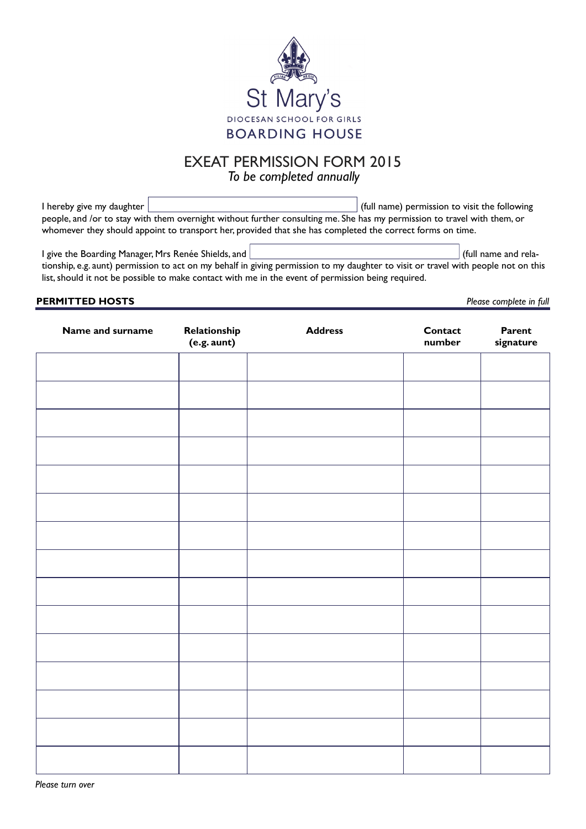

# EXEAT PERMISSION FORM 2015 *To be completed annually*

I hereby give my daughter (full name) permission to visit the following people, and /or to stay with them overnight without further consulting me. She has my permission to travel with them, or whomever they should appoint to transport her, provided that she has completed the correct forms on time.

I give the Boarding Manager, Mrs Renée Shields, and  $\vert$  (full name and relationship, e.g. aunt) permission to act on my behalf in giving permission to my daughter to visit or travel with people not on this list, should it not be possible to make contact with me in the event of permission being required.

## **PERMITTED HOSTS** *Please complete in full*

| Name and surname | Relationship<br>$(e.g.$ aunt) | <b>Address</b> | Contact<br>number | Parent<br>signature |
|------------------|-------------------------------|----------------|-------------------|---------------------|
|                  |                               |                |                   |                     |
|                  |                               |                |                   |                     |
|                  |                               |                |                   |                     |
|                  |                               |                |                   |                     |
|                  |                               |                |                   |                     |
|                  |                               |                |                   |                     |
|                  |                               |                |                   |                     |
|                  |                               |                |                   |                     |
|                  |                               |                |                   |                     |
|                  |                               |                |                   |                     |
|                  |                               |                |                   |                     |
|                  |                               |                |                   |                     |
|                  |                               |                |                   |                     |
|                  |                               |                |                   |                     |
|                  |                               |                |                   |                     |